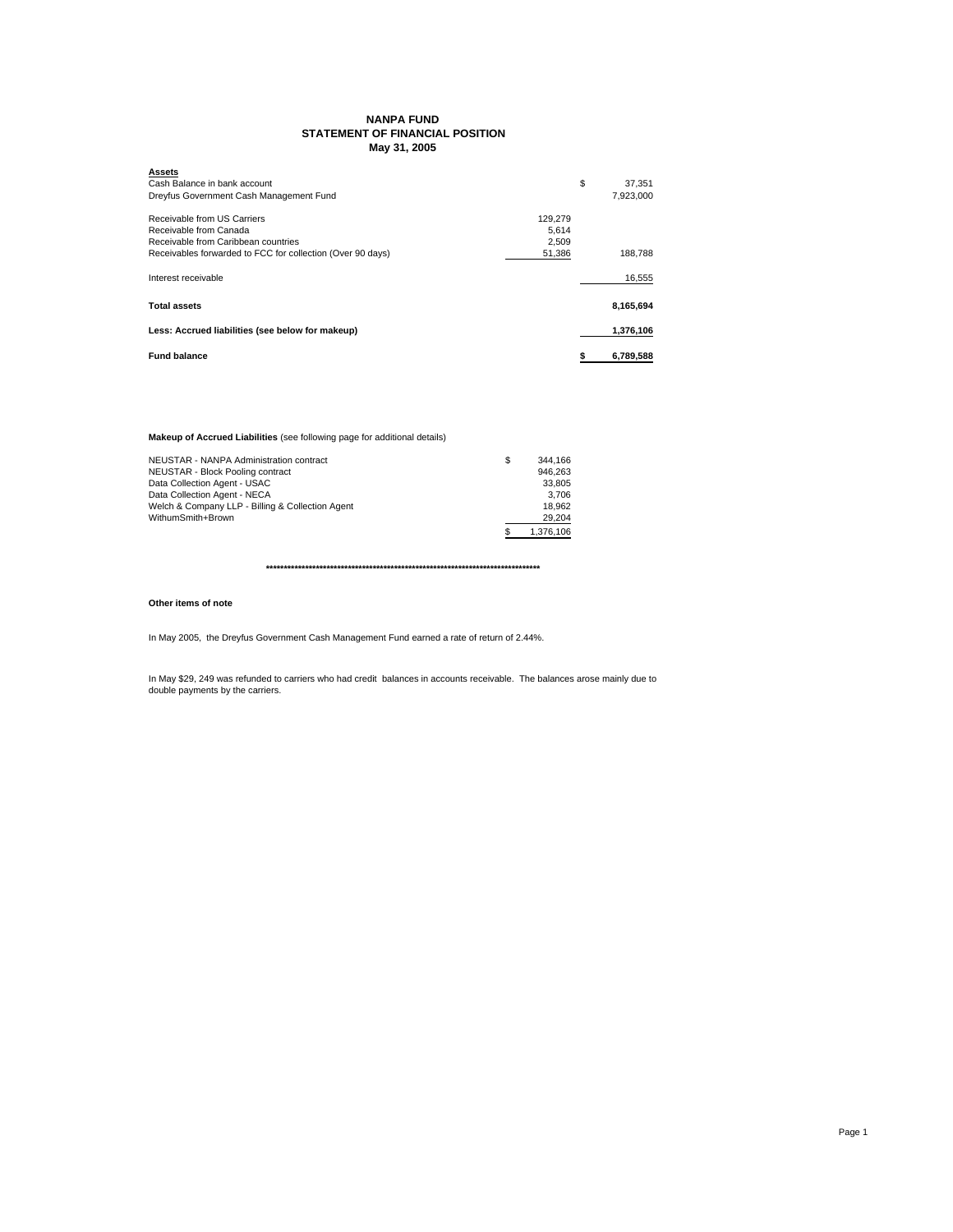## **NANPA FUND STATEMENT OF FINANCIAL POSITION May 31, 2005**

| <b>Assets</b>                                                        |              |
|----------------------------------------------------------------------|--------------|
| Cash Balance in bank account                                         | \$<br>37.351 |
| Dreyfus Government Cash Management Fund                              | 7.923.000    |
| Receivable from US Carriers<br>129.279                               |              |
| Receivable from Canada<br>5.614                                      |              |
| Receivable from Caribbean countries<br>2.509                         |              |
| Receivables forwarded to FCC for collection (Over 90 days)<br>51,386 | 188.788      |
| Interest receivable                                                  | 16,555       |
| <b>Total assets</b>                                                  | 8,165,694    |
| Less: Accrued liabilities (see below for makeup)                     | 1,376,106    |
| <b>Fund balance</b>                                                  | 6,789,588    |

**Makeup of Accrued Liabilities** (see following page for additional details)

| NEUSTAR - NANPA Administration contract          | S | 344.166   |
|--------------------------------------------------|---|-----------|
| NEUSTAR - Block Pooling contract                 |   | 946.263   |
| Data Collection Agent - USAC                     |   | 33.805    |
| Data Collection Agent - NECA                     |   | 3.706     |
| Welch & Company LLP - Billing & Collection Agent |   | 18.962    |
| WithumSmith+Brown                                |   | 29.204    |
|                                                  |   | 1.376.106 |

**\*\*\*\*\*\*\*\*\*\*\*\*\*\*\*\*\*\*\*\*\*\*\*\*\*\*\*\*\*\*\*\*\*\*\*\*\*\*\*\*\*\*\*\*\*\*\*\*\*\*\*\*\*\*\*\*\*\*\*\*\*\*\*\*\*\*\*\*\*\*\*\*\*\*\*\*\***

## **Other items of note**

In May 2005, the Dreyfus Government Cash Management Fund earned a rate of return of 2.44%.

In May \$29, 249 was refunded to carriers who had credit balances in accounts receivable. The balances arose mainly due to double payments by the carriers.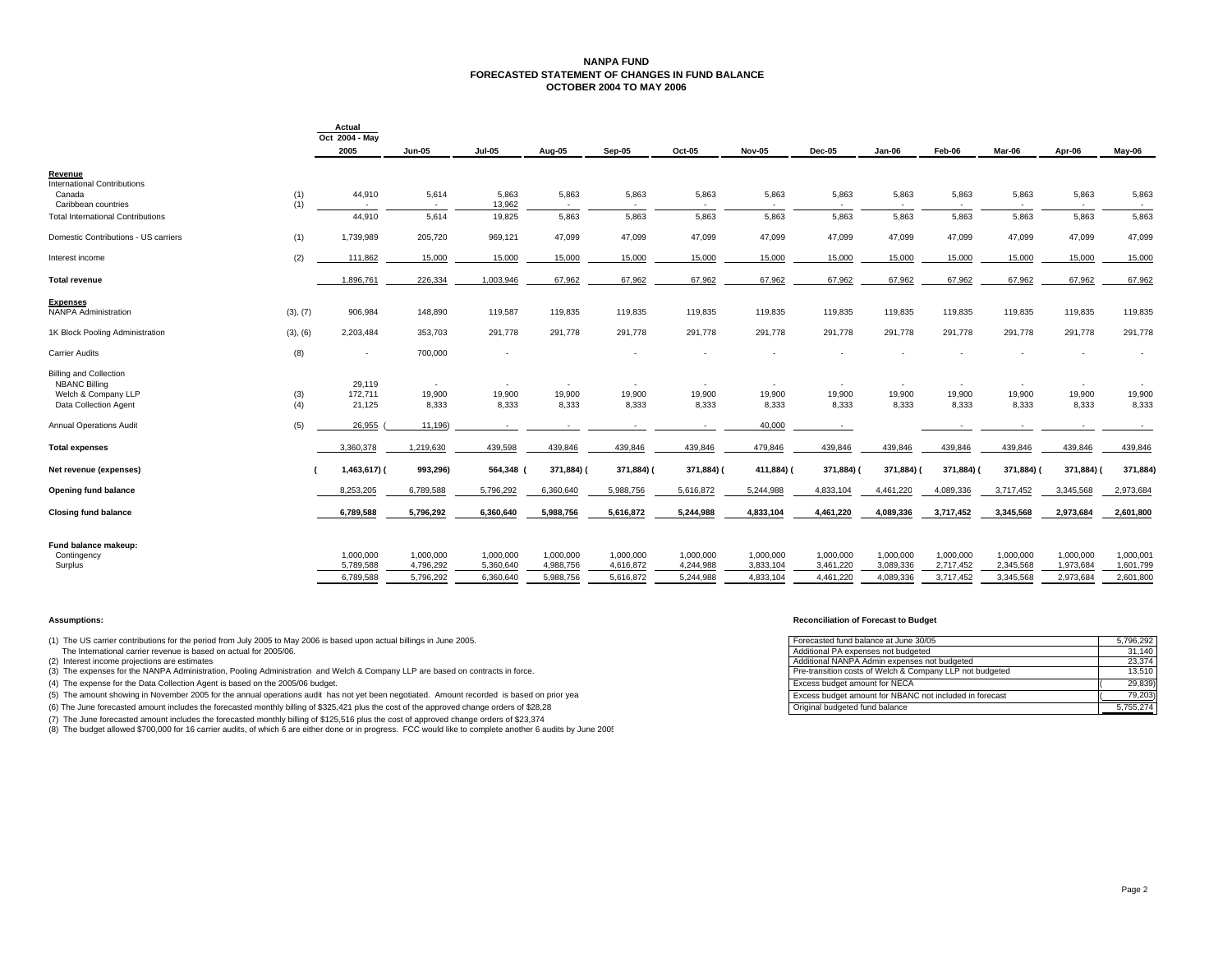## **NANPA FUND FORECASTED STATEMENT OF CHANGES IN FUND BALANCEOCTOBER 2004 TO MAY 2006**

|                                          |          | Actual<br>Oct 2004 - May |                          |                        |                        |                        |                        |                        |                        |                        |                        |                        |                          |                        |
|------------------------------------------|----------|--------------------------|--------------------------|------------------------|------------------------|------------------------|------------------------|------------------------|------------------------|------------------------|------------------------|------------------------|--------------------------|------------------------|
|                                          |          | 2005                     | Jun-05                   | <b>Jul-05</b>          | Aug-05                 | <b>Sep-05</b>          | Oct-05                 | <b>Nov-05</b>          | <b>Dec-05</b>          | $Jan-06$               | Feb-06                 | Mar-06                 | Apr-06                   | May-06                 |
| Revenue                                  |          |                          |                          |                        |                        |                        |                        |                        |                        |                        |                        |                        |                          |                        |
| International Contributions              |          |                          |                          |                        |                        |                        |                        |                        |                        |                        |                        |                        |                          |                        |
| Canada                                   | (1)      | 44,910                   | 5,614                    | 5,863                  | 5,863                  | 5,863                  | 5,863                  | 5,863                  | 5,863                  | 5,863                  | 5,863                  | 5,863                  | 5,863                    | 5,863                  |
| Caribbean countries                      | (1)      |                          | $\sim$                   | 13,962                 | $\sim$                 |                        |                        |                        |                        |                        |                        |                        |                          |                        |
| <b>Total International Contributions</b> |          | 44.910                   | 5,614                    | 19,825                 | 5.863                  | 5.863                  | 5,863                  | 5.863                  | 5.863                  | 5,863                  | 5,863                  | 5.863                  | 5.863                    | 5,863                  |
| Domestic Contributions - US carriers     | (1)      | 1,739,989                | 205,720                  | 969,121                | 47,099                 | 47,099                 | 47,099                 | 47,099                 | 47,099                 | 47,099                 | 47,099                 | 47,099                 | 47,099                   | 47,099                 |
| Interest income                          | (2)      | 111,862                  | 15,000                   | 15,000                 | 15,000                 | 15,000                 | 15,000                 | 15,000                 | 15,000                 | 15,000                 | 15,000                 | 15,000                 | 15,000                   | 15,000                 |
| <b>Total revenue</b>                     |          | 1,896,761                | 226,334                  | 1,003,946              | 67,962                 | 67,962                 | 67,962                 | 67,962                 | 67,962                 | 67,962                 | 67,962                 | 67,962                 | 67,962                   | 67,962                 |
| <b>Expenses</b>                          |          |                          |                          |                        |                        |                        |                        |                        |                        |                        |                        |                        |                          |                        |
| <b>NANPA Administration</b>              | (3), (7) | 906,984                  | 148,890                  | 119,587                | 119,835                | 119,835                | 119,835                | 119,835                | 119,835                | 119,835                | 119,835                | 119,835                | 119,835                  | 119,835                |
| 1K Block Pooling Administration          | (3), (6) | 2,203,484                | 353,703                  | 291,778                | 291,778                | 291,778                | 291,778                | 291,778                | 291,778                | 291,778                | 291,778                | 291,778                | 291,778                  | 291,778                |
| <b>Carrier Audits</b>                    | (8)      | $\blacksquare$           | 700,000                  | ٠                      |                        |                        |                        |                        |                        |                        |                        |                        |                          |                        |
| <b>Billing and Collection</b>            |          |                          |                          |                        |                        |                        |                        |                        |                        |                        |                        |                        |                          |                        |
| <b>NBANC Billing</b>                     |          | 29,119                   | $\overline{\phantom{a}}$ |                        |                        |                        | $\sim$                 | $\sim$                 |                        |                        |                        |                        | $\overline{\phantom{a}}$ |                        |
| Welch & Company LLP                      | (3)      | 172,711                  | 19,900                   | 19,900                 | 19,900                 | 19,900                 | 19,900                 | 19,900                 | 19,900                 | 19,900                 | 19,900                 | 19,900                 | 19,900                   | 19,900                 |
| Data Collection Agent                    | (4)      | 21,125                   | 8,333                    | 8,333                  | 8,333                  | 8,333                  | 8,333                  | 8,333                  | 8,333                  | 8,333                  | 8,333                  | 8,333                  | 8,333                    | 8,333                  |
| <b>Annual Operations Audit</b>           | (5)      | 26,955                   | 11,196)                  |                        |                        |                        | $\sim$                 | 40,000                 | $\sim$                 |                        |                        |                        |                          |                        |
| <b>Total expenses</b>                    |          | 3,360,378                | 1,219,630                | 439,598                | 439,846                | 439,846                | 439,846                | 479,846                | 439,846                | 439,846                | 439,846                | 439,846                | 439,846                  | 439,846                |
| Net revenue (expenses)                   |          | 1,463,617) (             | 993,296)                 | 564,348                | 371,884) (             | 371,884) (             | 371,884) (             | 411,884) (             | 371,884) (             | 371,884)               | 371,884)               | 371,884) (             | 371,884) (               | 371,884)               |
| <b>Opening fund balance</b>              |          | 8,253,205                | 6,789,588                | 5,796,292              | 6,360,640              | 5,988,756              | 5,616,872              | 5,244,988              | 4,833,104              | 4,461,220              | 4,089,336              | 3,717,452              | 3,345,568                | 2,973,684              |
| <b>Closing fund balance</b>              |          | 6,789,588                | 5,796,292                | 6,360,640              | 5,988,756              | 5,616,872              | 5,244,988              | 4,833,104              | 4,461,220              | 4,089,336              | 3,717,452              | 3,345,568              | 2,973,684                | 2,601,800              |
|                                          |          |                          |                          |                        |                        |                        |                        |                        |                        |                        |                        |                        |                          |                        |
| Fund balance makeup:                     |          |                          |                          |                        |                        |                        |                        |                        |                        |                        |                        |                        |                          |                        |
| Contingency                              |          | 1,000,000<br>5,789,588   | 1,000,000<br>4,796,292   | 1,000,000<br>5,360,640 | 1,000,000<br>4,988,756 | 1,000,000<br>4,616,872 | 1,000,000<br>4,244,988 | 1,000,000<br>3,833,104 | 1,000,000<br>3,461,220 | 1,000,000<br>3,089,336 | 1,000,000<br>2,717,452 | 1,000,000<br>2,345,568 | 1,000,000<br>1,973,684   | 1,000,001<br>1,601,799 |
| Surplus                                  |          |                          |                          |                        |                        |                        |                        |                        |                        |                        |                        |                        |                          |                        |
|                                          |          | 6,789,588                | 5,796,292                | 6,360,640              | 5,988,756              | 5,616,872              | 5,244,988              | 4,833,104              | 4,461,220              | 4,089,336              | 3,717,452              | 3,345,568              | 2,973,684                | 2,601,800              |

(1) The US carrier contributions for the period from July 2005 to May 2006 is based upon actual billings in June 2005.

(7) The June forecasted amount includes the forecasted monthly billing of \$125,516 plus the cost of approved change orders of \$23,374

(8) The budget allowed \$700,000 for 16 carrier audits, of which 6 are either done or in progress. FCC would like to complete another 6 audits by June 2005

### **Assumptions: Reconciliation of Forecast to Budget**

| (1) The US carrier contributions for the period from July 2005 to May 2006 is based upon actual billings in June 2005.                     | Forecasted fund balance at June 30/05                    | 5.796.292 |
|--------------------------------------------------------------------------------------------------------------------------------------------|----------------------------------------------------------|-----------|
| The International carrier revenue is based on actual for 2005/06.                                                                          | Additional PA expenses not budgeted                      | 31.140    |
| (2) Interest income projections are estimates                                                                                              | Additional NANPA Admin expenses not budgeted             | 23.374    |
| (3) The expenses for the NANPA Administration, Pooling Administration and Welch & Company LLP are based on contracts in force.             | Pre-transition costs of Welch & Company LLP not budgeted | 13.510    |
| (4) The expense for the Data Collection Agent is based on the 2005/06 budget.                                                              | <b>Excess budget amount for NECA</b>                     | 29,839    |
| (5) The amount showing in November 2005 for the annual operations audit has not yet been negotiated. Amount recorded is based on prior yea | Excess budget amount for NBANC not included in forecast  | 79.203    |
| (6) The June forecasted amount includes the forecasted monthly billing of \$325,421 plus the cost of the approved change orders of \$28,28 | Original budgeted fund balance                           | 5,755,274 |